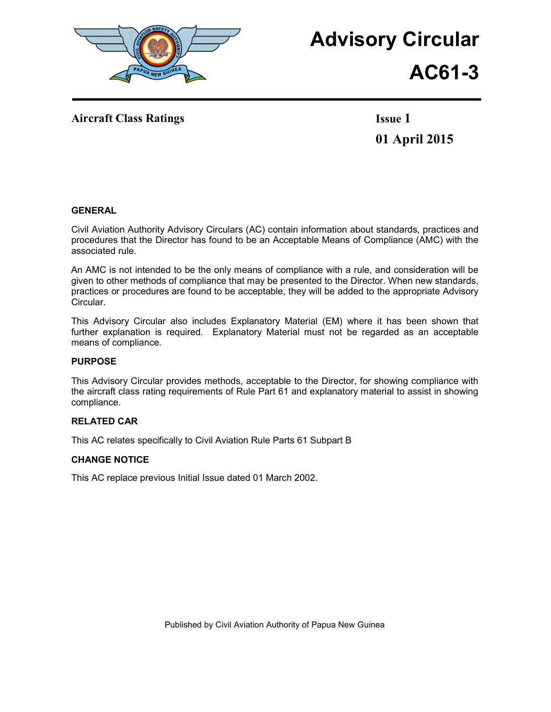

# **Advisory Circular**

## **AC61-3**

Aircraft Class Ratings **Issue 1** 

**01 April 2015**

#### **GENERAL**

Civil Aviation Authority Advisory Circulars (AC) contain information about standards, practices and procedures that the Director has found to be an Acceptable Means of Compliance (AMC) with the associated rule.

An AMC is not intended to be the only means of compliance with a rule, and consideration will be given to other methods of compliance that may be presented to the Director. When new standards, practices or procedures are found to be acceptable, they will be added to the appropriate Advisory Circular.

This Advisory Circular also includes Explanatory Material (EM) where it has been shown that further explanation is required. Explanatory Material must not be regarded as an acceptable means of compliance.

#### **PURPOSE**

This Advisory Circular provides methods, acceptable to the Director, for showing compliance with the aircraft class rating requirements of Rule Part 61 and explanatory material to assist in showing compliance.

#### **RELATED CAR**

This AC relates specifically to Civil Aviation Rule Parts 61 Subpart B

#### **CHANGE NOTICE**

This AC replace previous Initial Issue dated 01 March 2002.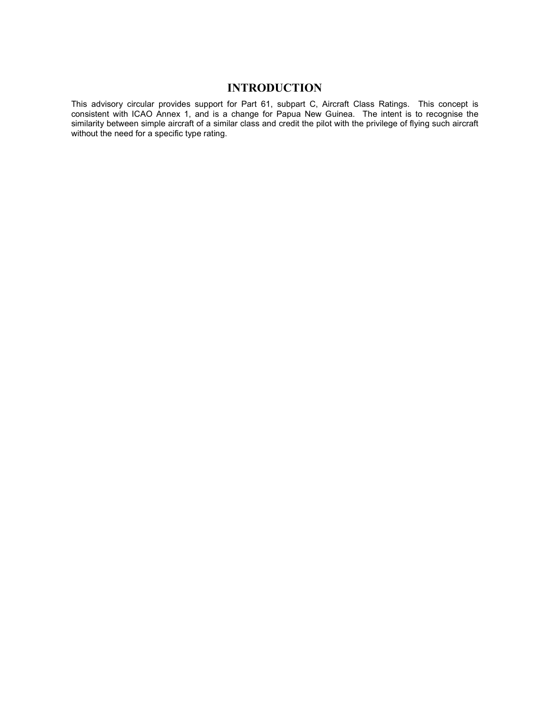### **INTRODUCTION**

This advisory circular provides support for Part 61, subpart C, Aircraft Class Ratings. This concept is consistent with ICAO Annex 1, and is a change for Papua New Guinea. The intent is to recognise the similarity between simple aircraft of a similar class and credit the pilot with the privilege of flying such aircraft without the need for a specific type rating.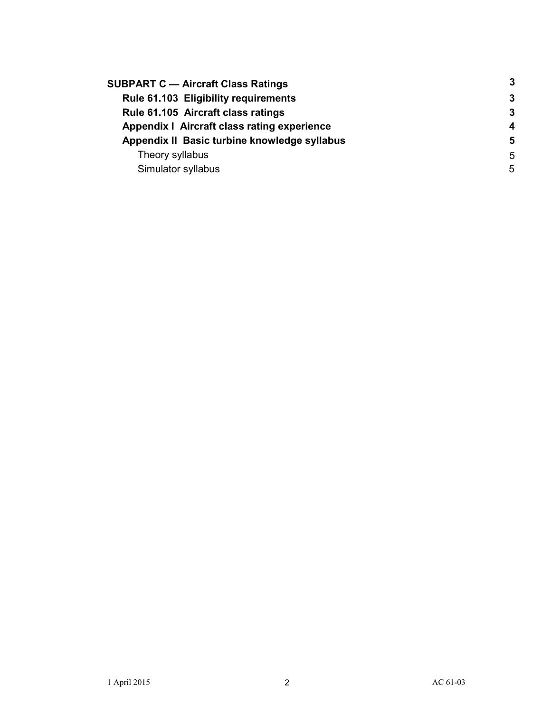| <b>SUBPART C - Aircraft Class Ratings</b>    | -3               |
|----------------------------------------------|------------------|
| Rule 61.103 Eligibility requirements         | 3                |
| Rule 61.105 Aircraft class ratings           | -3               |
| Appendix   Aircraft class rating experience  | $\boldsymbol{4}$ |
| Appendix II Basic turbine knowledge syllabus | 5                |
| Theory syllabus                              | 5                |
| Simulator syllabus                           | 5                |
|                                              |                  |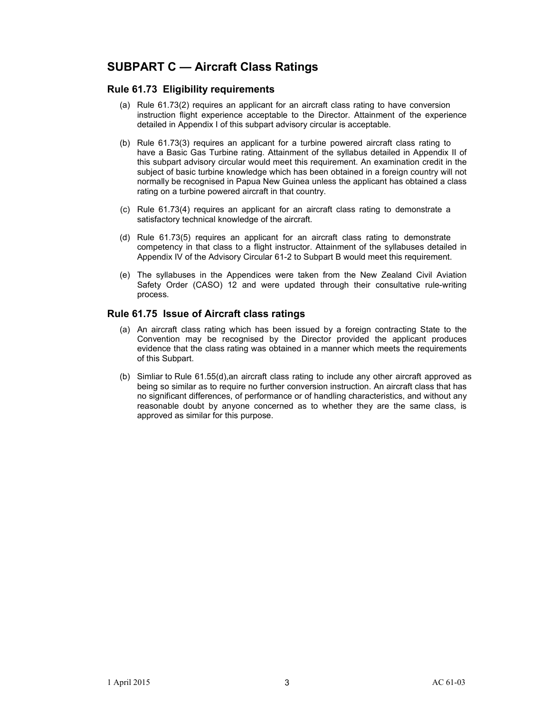## **SUBPART C — Aircraft Class Ratings**

#### **Rule 61.73 Eligibility requirements**

- (a) Rule 61.73(2) requires an applicant for an aircraft class rating to have conversion instruction flight experience acceptable to the Director. Attainment of the experience detailed in Appendix I of this subpart advisory circular is acceptable.
- (b) Rule 61.73(3) requires an applicant for a turbine powered aircraft class rating to have a Basic Gas Turbine rating. Attainment of the syllabus detailed in Appendix II of this subpart advisory circular would meet this requirement. An examination credit in the subject of basic turbine knowledge which has been obtained in a foreign country will not normally be recognised in Papua New Guinea unless the applicant has obtained a class rating on a turbine powered aircraft in that country.
- (c) Rule 61.73(4) requires an applicant for an aircraft class rating to demonstrate a satisfactory technical knowledge of the aircraft.
- (d) Rule 61.73(5) requires an applicant for an aircraft class rating to demonstrate competency in that class to a flight instructor. Attainment of the syllabuses detailed in Appendix IV of the Advisory Circular 61-2 to Subpart B would meet this requirement.
- (e) The syllabuses in the Appendices were taken from the New Zealand Civil Aviation Safety Order (CASO) 12 and were updated through their consultative rule-writing process.

#### **Rule 61.75 Issue of Aircraft class ratings**

- (a) An aircraft class rating which has been issued by a foreign contracting State to the Convention may be recognised by the Director provided the applicant produces evidence that the class rating was obtained in a manner which meets the requirements of this Subpart.
- (b) Simliar to Rule 61.55(d),an aircraft class rating to include any other aircraft approved as being so similar as to require no further conversion instruction. An aircraft class that has no significant differences, of performance or of handling characteristics, and without any reasonable doubt by anyone concerned as to whether they are the same class, is approved as similar for this purpose.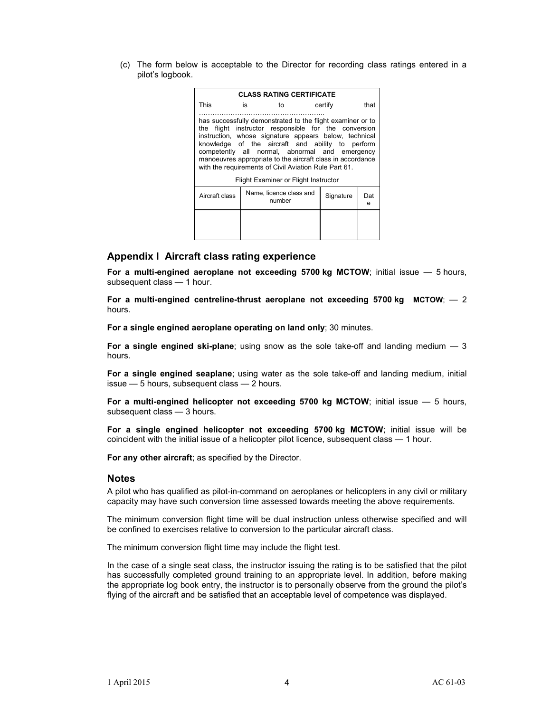(c) The form below is acceptable to the Director for recording class ratings entered in a pilot's logbook.

| <b>CLASS RATING CERTIFICATE</b>                                                                                                                                                                                                                                                                                                                                                                          |    |                                   |  |           |          |  |
|----------------------------------------------------------------------------------------------------------------------------------------------------------------------------------------------------------------------------------------------------------------------------------------------------------------------------------------------------------------------------------------------------------|----|-----------------------------------|--|-----------|----------|--|
| This                                                                                                                                                                                                                                                                                                                                                                                                     | is | to                                |  | certify   | that     |  |
| has successfully demonstrated to the flight examiner or to<br>the flight instructor responsible for the conversion<br>instruction, whose signature appears below, technical<br>knowledge of the aircraft and ability to perform<br>competently all normal, abnormal and emergency<br>manoeuvres appropriate to the aircraft class in accordance<br>with the requirements of Civil Aviation Rule Part 61. |    |                                   |  |           |          |  |
| Flight Examiner or Flight Instructor                                                                                                                                                                                                                                                                                                                                                                     |    |                                   |  |           |          |  |
| Aircraft class                                                                                                                                                                                                                                                                                                                                                                                           |    | Name, licence class and<br>number |  | Signature | Dat<br>e |  |
|                                                                                                                                                                                                                                                                                                                                                                                                          |    |                                   |  |           |          |  |
|                                                                                                                                                                                                                                                                                                                                                                                                          |    |                                   |  |           |          |  |
|                                                                                                                                                                                                                                                                                                                                                                                                          |    |                                   |  |           |          |  |

#### **Appendix I Aircraft class rating experience**

**For a multi-engined aeroplane not exceeding 5700 kg MCTOW**; initial issue — 5 hours, subsequent class — 1 hour.

**For a multi-engined centreline-thrust aeroplane not exceeding 5700 kg MCTOW**; — 2 hours.

**For a single engined aeroplane operating on land only**; 30 minutes.

**For a single engined ski-plane**; using snow as the sole take-off and landing medium — 3 hours.

**For a single engined seaplane**; using water as the sole take-off and landing medium, initial issue — 5 hours, subsequent class — 2 hours.

**For a multi-engined helicopter not exceeding 5700 kg MCTOW**; initial issue — 5 hours, subsequent class — 3 hours.

**For a single engined helicopter not exceeding 5700 kg MCTOW**; initial issue will be coincident with the initial issue of a helicopter pilot licence, subsequent class — 1 hour.

**For any other aircraft**; as specified by the Director.

#### **Notes**

A pilot who has qualified as pilot-in-command on aeroplanes or helicopters in any civil or military capacity may have such conversion time assessed towards meeting the above requirements.

The minimum conversion flight time will be dual instruction unless otherwise specified and will be confined to exercises relative to conversion to the particular aircraft class.

The minimum conversion flight time may include the flight test.

In the case of a single seat class, the instructor issuing the rating is to be satisfied that the pilot has successfully completed ground training to an appropriate level. In addition, before making the appropriate log book entry, the instructor is to personally observe from the ground the pilot's flying of the aircraft and be satisfied that an acceptable level of competence was displayed.